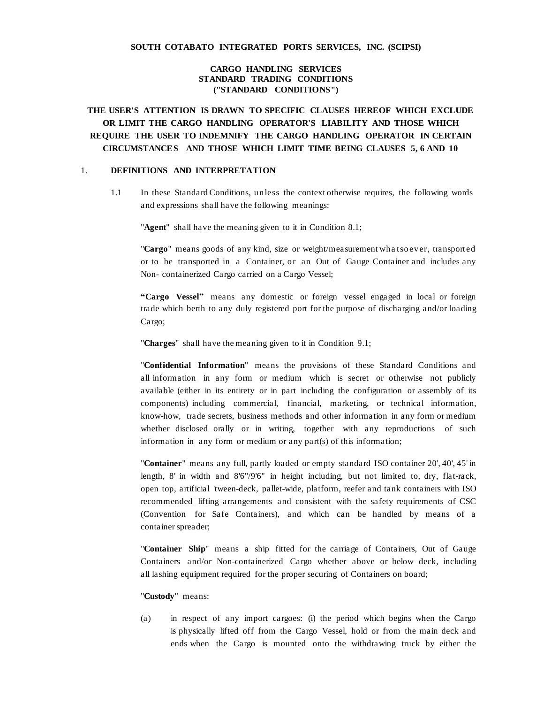### **CARGO HANDLING SERVICES STANDARD TRADING CONDITIONS ("STANDARD CONDITIONS")**

# **THE USER'S ATTENTION IS DRAWN TO SPECIFIC CLAUSES HEREOF WHICH EXCLUDE OR LIMIT THE CARGO HANDLING OPERATOR'S LIABILITY AND THOSE WHICH REQUIRE THE USER TO INDEMNIFY THE CARGO HANDLING OPERATOR IN CERTAIN CIRCUMSTANCES AND THOSE WHICH LIMIT TIME BEING CLAUSES 5, 6 AND 10**

#### 1. **DEFINITIONS AND INTERPRETATION**

1.1 In these Standard Conditions, unless the context otherwise requires, the following words and expressions shall have the following meanings:

"**Agent**" shall have the meaning given to it in Condition 8.1;

"**Cargo**" means goods of any kind, size or weight/measurement wha tsoever, transported or to be transported in a Container, or an Out of Gauge Container and includes any Non- containerized Cargo carried on a Cargo Vessel;

**"Cargo Vessel"** means any domestic or foreign vessel engaged in local or foreign trade which berth to any duly registered port for the purpose of discharging and/or loading Cargo;

"**Charges**" shall have the meaning given to it in Condition 9.1;

"**Confidential Information**" means the provisions of these Standard Conditions and all information in any form or medium which is secret or otherwise not publicly available (either in its entirety or in part including the configuration or assembly of its components) including commercial, financial, marketing, or technical information, know-how, trade secrets, business methods and other information in any form or medium whether disclosed orally or in writing, together with any reproductions of such information in any form or medium or any part(s) of this information;

"**Container**" means any full, partly loaded or empty standard ISO container 20', 40', 45' in length, 8' in width and 8'6"/9'6" in height including, but not limited to, dry, flat-rack, open top, artificial 'tween-deck, pallet-wide, platform, reefer and tank containers with ISO recommended lifting arrangements and consistent with the safety requirements of CSC (Convention for Safe Containers), and which can be handled by means of a container spreader;

"**Container Ship**" means a ship fitted for the carriage of Containers, Out of Gauge Containers and/or Non-containerized Cargo whether above or below deck, including all lashing equipment required for the proper securing of Containers on board;

### "**Custody**" means:

(a) in respect of any import cargoes: (i) the period which begins when the Cargo is physically lifted off from the Cargo Vessel, hold or from the main deck and ends when the Cargo is mounted onto the withdrawing truck by either the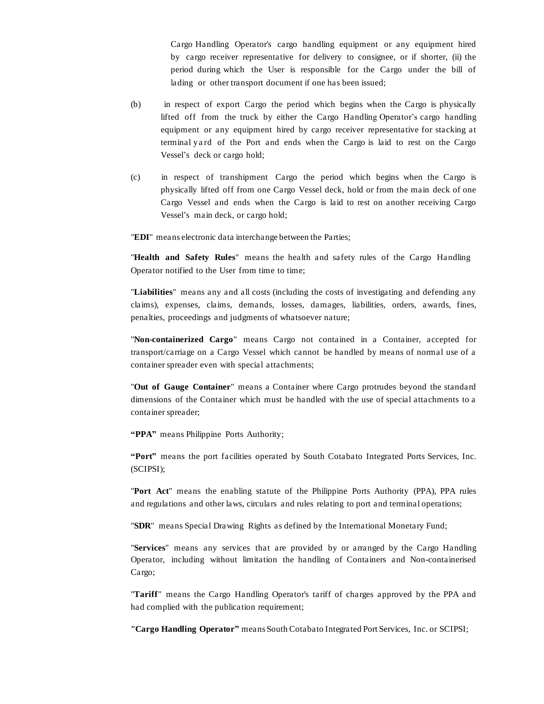Cargo Handling Operator's cargo handling equipment or any equipment hired by cargo receiver representative for delivery to consignee, or if shorter, (ii) the period during which the User is responsible for the Cargo under the bill of lading or other transport document if one has been issued;

- (b) in respect of export Cargo the period which begins when the Cargo is physically lifted off from the truck by either the Cargo Handling Operator's cargo handling equipment or any equipment hired by cargo receiver representative for stacking at terminal ya rd of the Port and ends when the Cargo is laid to rest on the Cargo Vessel's deck or cargo hold;
- (c) in respect of transhipment Cargo the period which begins when the Cargo is physically lifted off from one Cargo Vessel deck, hold or from the main deck of one Cargo Vessel and ends when the Cargo is laid to rest on another receiving Cargo Vessel's main deck, or cargo hold;

"**EDI**" means electronic data interchange between the Parties;

"**Health and Safety Rules**" means the health and safety rules of the Cargo Handling Operator notified to the User from time to time;

"**Liabilities**" means any and all costs (including the costs of investigating and defending any claims), expenses, claims, demands, losses, damages, liabilities, orders, awards, fines, penalties, proceedings and judgments of whatsoever nature;

"**Non-containerized Cargo**" means Cargo not contained in a Container, accepted for transport/carriage on a Cargo Vessel which cannot be handled by means of normal use of a container spreader even with special attachments;

"**Out of Gauge Container**" means a Container where Cargo protrudes beyond the standard dimensions of the Container which must be handled with the use of special attachments to a container spreader;

**"PPA"** means Philippine Ports Authority;

**"Port"** means the port facilities operated by South Cotabato Integrated Ports Services, Inc. (SCIPSI);

"**Port Act**" means the enabling statute of the Philippine Ports Authority (PPA), PPA rules and regulations and other laws, circulars and rules relating to port and terminal operations;

"**SDR**" means Special Drawing Rights as defined by the International Monetary Fund;

"**Services**" means any services that are provided by or arranged by the Cargo Handling Operator, including without limitation the handling of Containers and Non-containerised Cargo;

"**Tariff**" means the Cargo Handling Operator's tariff of charges approved by the PPA and had complied with the publication requirement;

**"Cargo Handling Operator"** means South Cotabato Integrated Port Services, Inc. or SCIPSI;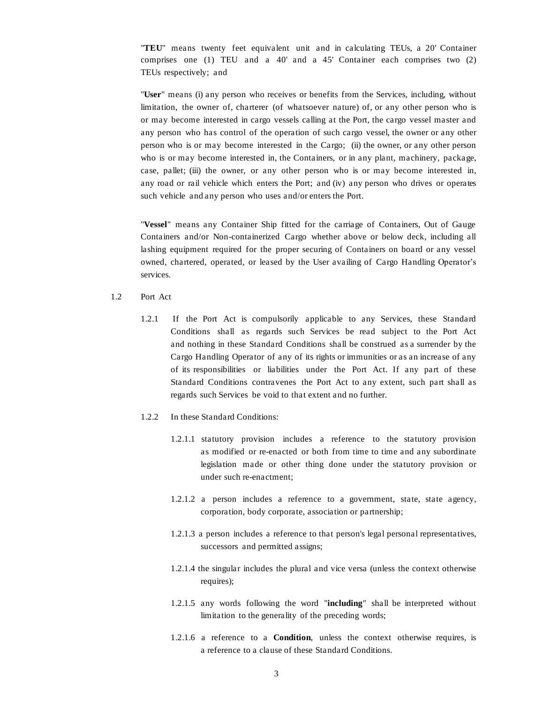"**TEU**" means twenty feet equivalent unit and in calculating TEUs, a 20' Container comprises one (1) TEU and a 40' and a 45' Container each comprises two (2) TEUs respectively; and

"**User**" means (i) any person who receives or benefits from the Services, including, without limitation, the owner of, charterer (of whatsoever nature) of, or any other person who is or may become interested in cargo vessels calling at the Port, the cargo vessel master and any person who has control of the operation of such cargo vessel, the owner or any other person who is or may become interested in the Cargo; (ii) the owner, or any other person who is or may become interested in, the Containers, or in any plant, machinery, package, case, pallet; (iii) the owner, or any other person who is or may become interested in, any road or rail vehicle which enters the Port; and (iv) any person who drives or operates such vehicle and any person who uses and/or enters the Port.

"**Vessel**" means any Container Ship fitted for the carriage of Containers, Out of Gauge Containers and/or Non-containerized Cargo whether above or below deck, including all lashing equipment required for the proper securing of Containers on board or any vessel owned, chartered, operated, or leased by the User availing of Cargo Handling Operator's services.

- 1.2 Port Act
	- 1.2.1 If the Port Act is compulsorily applicable to any Services, these Standard Conditions shall as regards such Services be read subject to the Port Act and nothing in these Standard Conditions shall be construed as a surrender by the Cargo Handling Operator of any of its rights or immunities or as an increase of any of its responsibilities or liabilities under the Port Act. If any part of these Standard Conditions contravenes the Port Act to any extent, such part shall as regards such Services be void to that extent and no further.
	- 1.2.2 In these Standard Conditions:
		- 1.2.1.1 statutory provision includes a reference to the statutory provision as modified or re-enacted or both from time to time and any subordinate legislation made or other thing done under the statutory provision or under such re-enactment;
		- 1.2.1.2 a person includes a reference to a government, state, state agency, corporation, body corporate, association or partnership;
		- 1.2.1.3 a person includes a reference to that person's legal personal representatives, successors and permitted assigns;
		- 1.2.1.4 the singular includes the plural and vice versa (unless the context otherwise requires);
		- 1.2.1.5 any words following the word "**including**" shall be interpreted without limitation to the generality of the preceding words;
		- 1.2.1.6 a reference to a **Condition**, unless the context otherwise requires, is a reference to a clause of these Standard Conditions.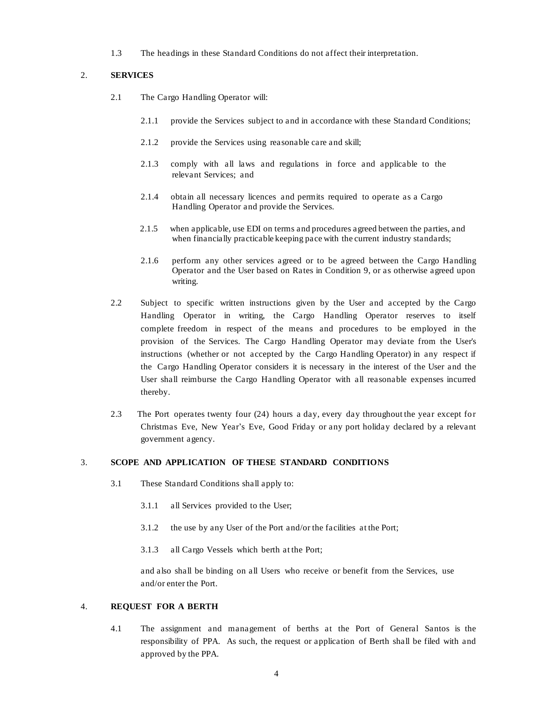1.3 The headings in these Standard Conditions do not affect their interpretation.

### 2. **SERVICES**

- 2.1 The Cargo Handling Operator will:
	- 2.1.1 provide the Services subject to and in accordance with these Standard Conditions;
	- 2.1.2 provide the Services using reasonable care and skill;
	- 2.1.3 comply with all laws and regulations in force and applicable to the relevant Services; and
	- 2.1.4 obtain all necessary licences and permits required to operate as a Cargo Handling Operator and provide the Services.
	- 2.1.5 when applicable, use EDI on terms and procedures agreed between the parties, and when financially practicable keeping pace with the current industry standards;
	- 2.1.6 perform any other services agreed or to be agreed between the Cargo Handling Operator and the User based on Rates in Condition 9, or as otherwise agreed upon writing.
- 2.2 Subject to specific written instructions given by the User and accepted by the Cargo Handling Operator in writing, the Cargo Handling Operator reserves to itself complete freedom in respect of the means and procedures to be employed in the provision of the Services. The Cargo Handling Operator may deviate from the User's instructions (whether or not accepted by the Cargo Handling Operator) in any respect if the Cargo Handling Operator considers it is necessary in the interest of the User and the User shall reimburse the Cargo Handling Operator with all reasonable expenses incurred thereby.
- 2.3 The Port operates twenty four (24) hours a day, every day throughout the year except for Christmas Eve, New Year's Eve, Good Friday or any port holiday declared by a relevant government agency.

### 3. **SCOPE AND APPLICATION OF THESE STANDARD CONDITIONS**

- 3.1 These Standard Conditions shall apply to:
	- 3.1.1 all Services provided to the User;
	- 3.1.2 the use by any User of the Port and/or the facilities at the Port;
	- 3.1.3 all Cargo Vessels which berth at the Port;

and also shall be binding on all Users who receive or benefit from the Services, use and/or enter the Port.

### 4. **REQUEST FOR A BERTH**

4.1 The assignment and management of berths at the Port of General Santos is the responsibility of PPA. As such, the request or application of Berth shall be filed with and approved by the PPA.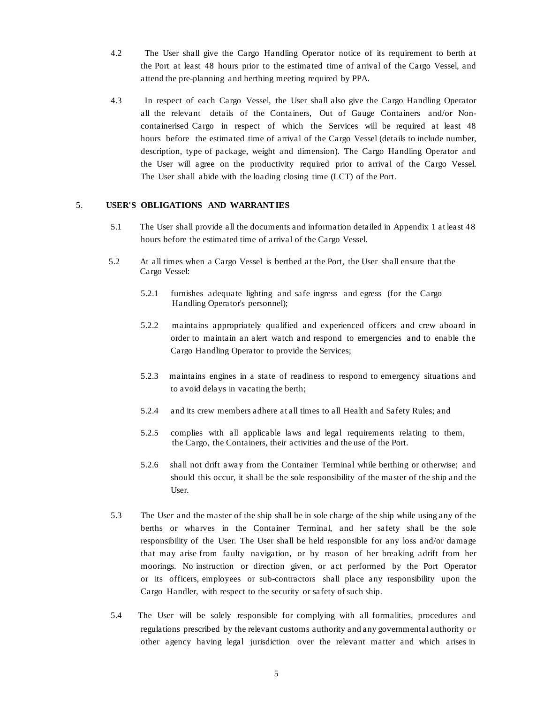- 4.2 The User shall give the Cargo Handling Operator notice of its requirement to berth at the Port at least 48 hours prior to the estimated time of arrival of the Cargo Vessel, and attend the pre-planning and berthing meeting required by PPA.
- 4.3 In respect of each Cargo Vessel, the User shall also give the Cargo Handling Operator all the relevant details of the Containers, Out of Gauge Containers and/or Noncontainerised Cargo in respect of which the Services will be required at least 48 hours before the estimated time of arrival of the Cargo Vessel (details to include number, description, type of package, weight and dimension). The Cargo Handling Operator and the User will agree on the productivity required prior to arrival of the Cargo Vessel. The User shall abide with the loading closing time (LCT) of the Port.

#### 5. **USER'S OBLIGATIONS AND WARRANTIES**

- 5.1 The User shall provide all the documents and information detailed in Appendix 1 at least 48 hours before the estimated time of arrival of the Cargo Vessel.
- 5.2 At all times when a Cargo Vessel is berthed at the Port, the User shall ensure that the Cargo Vessel:
	- 5.2.1 furnishes adequate lighting and safe ingress and egress (for the Cargo Handling Operator's personnel);
	- 5.2.2 maintains appropriately qualified and experienced officers and crew aboard in order to maintain an alert watch and respond to emergencies and to enable the Cargo Handling Operator to provide the Services;
	- 5.2.3 maintains engines in a state of readiness to respond to emergency situations and to avoid delays in vacating the berth;
	- 5.2.4 and its crew members adhere at all times to all Health and Safety Rules; and
	- 5.2.5 complies with all applicable laws and legal requirements relating to them, the Cargo, the Containers, their activities and the use of the Port.
	- 5.2.6 shall not drift away from the Container Terminal while berthing or otherwise; and should this occur, it shall be the sole responsibility of the master of the ship and the User.
- 5.3 The User and the master of the ship shall be in sole charge of the ship while using any of the berths or wharves in the Container Terminal, and her safety shall be the sole responsibility of the User. The User shall be held responsible for any loss and/or damage that may arise from faulty navigation, or by reason of her breaking adrift from her moorings. No instruction or direction given, or act performed by the Port Operator or its officers, employees or sub-contractors shall place any responsibility upon the Cargo Handler, with respect to the security or safety of such ship.
- 5.4 The User will be solely responsible for complying with all formalities, procedures and regulations prescribed by the relevant customs authority and any governmental authority or other agency having legal jurisdiction over the relevant matter and which arises in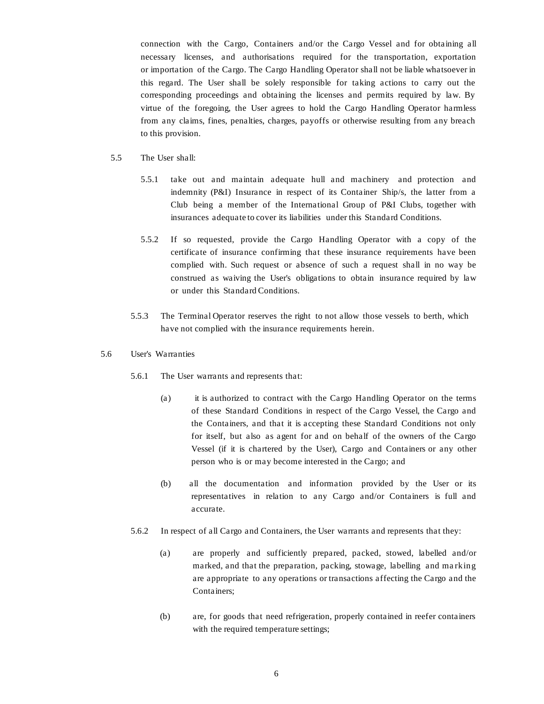connection with the Cargo, Containers and/or the Cargo Vessel and for obtaining all necessary licenses, and authorisations required for the transportation, exportation or importation of the Cargo. The Cargo Handling Operator shall not be liable whatsoever in this regard. The User shall be solely responsible for taking actions to carry out the corresponding proceedings and obtaining the licenses and permits required by law. By virtue of the foregoing, the User agrees to hold the Cargo Handling Operator harmless from any claims, fines, penalties, charges, payoffs or otherwise resulting from any breach to this provision.

- 5.5 The User shall:
	- 5.5.1 take out and maintain adequate hull and machinery and protection and indemnity (P&I) Insurance in respect of its Container Ship/s, the latter from a Club being a member of the International Group of P&I Clubs, together with insurances adequate to cover its liabilities under this Standard Conditions.
	- 5.5.2 If so requested, provide the Cargo Handling Operator with a copy of the certificate of insurance confirming that these insurance requirements have been complied with. Such request or absence of such a request shall in no way be construed as waiving the User's obligations to obtain insurance required by law or under this Standard Conditions.
	- 5.5.3 The Terminal Operator reserves the right to not allow those vessels to berth, which have not complied with the insurance requirements herein.
- 5.6 User's Warranties
	- 5.6.1 The User warrants and represents that:
		- (a) it is authorized to contract with the Cargo Handling Operator on the terms of these Standard Conditions in respect of the Cargo Vessel, the Cargo and the Containers, and that it is accepting these Standard Conditions not only for itself, but also as agent for and on behalf of the owners of the Cargo Vessel (if it is chartered by the User), Cargo and Containers or any other person who is or may become interested in the Cargo; and
		- (b) all the documentation and information provided by the User or its representatives in relation to any Cargo and/or Containers is full and accurate.
	- 5.6.2 In respect of all Cargo and Containers, the User warrants and represents that they:
		- (a) are properly and sufficiently prepared, packed, stowed, labelled and/or marked, and that the preparation, packing, stowage, labelling and ma rking are appropriate to any operations or transactions affecting the Cargo and the Containers;
		- (b) are, for goods that need refrigeration, properly contained in reefer containers with the required temperature settings;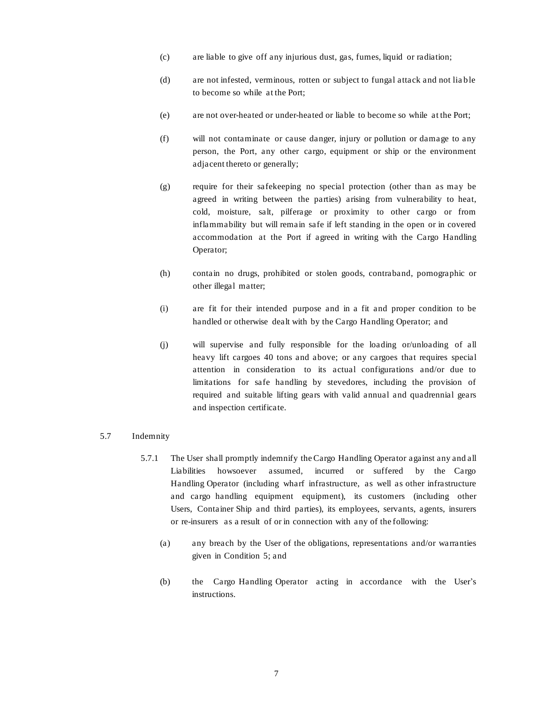- (c) are liable to give off any injurious dust, gas, fumes, liquid or radiation;
- (d) are not infested, verminous, rotten or subject to fungal attack and not lia ble to become so while at the Port;
- (e) are not over-heated or under-heated or liable to become so while at the Port;
- (f) will not contaminate or cause danger, injury or pollution or damage to any person, the Port, any other cargo, equipment or ship or the environment adjacent thereto or generally;
- (g) require for their safekeeping no special protection (other than as may be agreed in writing between the parties) arising from vulnerability to heat, cold, moisture, salt, pilferage or proximity to other cargo or from inflammability but will remain safe if left standing in the open or in covered accommodation at the Port if agreed in writing with the Cargo Handling Operator;
- (h) contain no drugs, prohibited or stolen goods, contraband, pornographic or other illegal matter;
- (i) are fit for their intended purpose and in a fit and proper condition to be handled or otherwise dealt with by the Cargo Handling Operator; and
- (j) will supervise and fully responsible for the loading or/unloading of all heavy lift cargoes 40 tons and above; or any cargoes that requires special attention in consideration to its actual configurations and/or due to limitations for safe handling by stevedores, including the provision of required and suitable lifting gears with valid annual and quadrennial gears and inspection certificate.

#### 5.7 Indemnity

- 5.7.1 The User shall promptly indemnify the Cargo Handling Operator against any and all Liabilities howsoever assumed, incurred or suffered by the Cargo Handling Operator (including wharf infrastructure, as well as other infrastructure and cargo handling equipment equipment), its customers (including other Users, Container Ship and third parties), its employees, servants, agents, insurers or re-insurers as a result of or in connection with any of the following:
	- (a) any breach by the User of the obligations, representations and/or warranties given in Condition 5; and
	- (b) the Cargo Handling Operator acting in accordance with the User's instructions.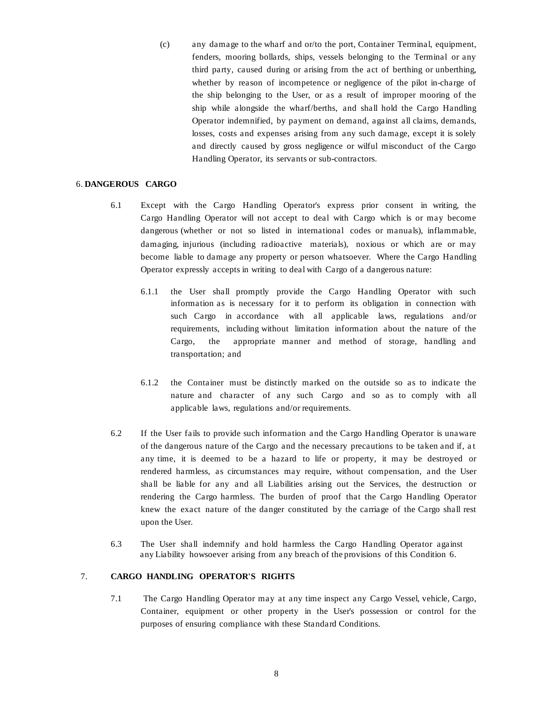(c) any damage to the wharf and or/to the port, Container Terminal, equipment, fenders, mooring bollards, ships, vessels belonging to the Terminal or any third party, caused during or arising from the act of berthing or unberthing, whether by reason of incompetence or negligence of the pilot in-charge of the ship belonging to the User, or as a result of improper mooring of the ship while alongside the wharf/berths, and shall hold the Cargo Handling Operator indemnified, by payment on demand, against all claims, demands, losses, costs and expenses arising from any such damage, except it is solely and directly caused by gross negligence or wilful misconduct of the Cargo Handling Operator, its servants or sub-contractors.

### 6. **DANGEROUS CARGO**

- 6.1 Except with the Cargo Handling Operator's express prior consent in writing, the Cargo Handling Operator will not accept to deal with Cargo which is or may become dangerous (whether or not so listed in international codes or manuals), inflammable, damaging, injurious (including radioactive materials), noxious or which are or may become liable to damage any property or person whatsoever. Where the Cargo Handling Operator expressly accepts in writing to deal with Cargo of a dangerous nature:
	- 6.1.1 the User shall promptly provide the Cargo Handling Operator with such information as is necessary for it to perform its obligation in connection with such Cargo in accordance with all applicable laws, regulations and/or requirements, including without limitation information about the nature of the Cargo, the appropriate manner and method of storage, handling and transportation; and
	- 6.1.2 the Container must be distinctly marked on the outside so as to indicate the nature and character of any such Cargo and so as to comply with all applicable laws, regulations and/or requirements.
- 6.2 If the User fails to provide such information and the Cargo Handling Operator is unaware of the dangerous nature of the Cargo and the necessary precautions to be taken and if, a t any time, it is deemed to be a hazard to life or property, it may be destroyed or rendered harmless, as circumstances may require, without compensation, and the User shall be liable for any and all Liabilities arising out the Services, the destruction or rendering the Cargo harmless. The burden of proof that the Cargo Handling Operator knew the exact nature of the danger constituted by the carriage of the Cargo shall rest upon the User.
- 6.3 The User shall indemnify and hold harmless the Cargo Handling Operator against any Liability howsoever arising from any breach of the provisions of this Condition 6.

### 7. **CARGO HANDLING OPERATOR'S RIGHTS**

7.1 The Cargo Handling Operator may at any time inspect any Cargo Vessel, vehicle, Cargo, Container, equipment or other property in the User's possession or control for the purposes of ensuring compliance with these Standard Conditions.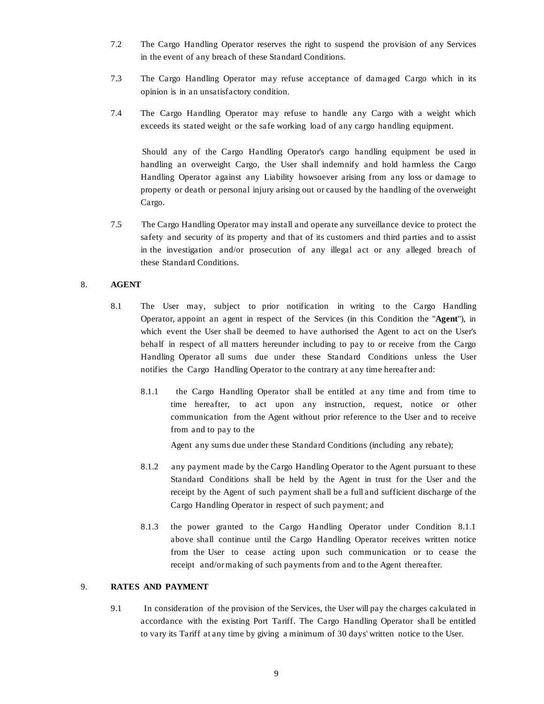- 7.2 The Cargo Handling Operator reserves the right to suspend the provision of any Services in the event of any breach of these Standard Conditions.
- 7.3 The Cargo Handling Operator may refuse acceptance of damaged Cargo which in its opinion is in an unsatisfactory condition.
- 7.4 The Cargo Handling Operator may refuse to handle any Cargo with a weight which exceeds its stated weight or the safe working load of any cargo handling equipment.

Should any of the Cargo Handling Operator's cargo handling equipment be used in handling an overweight Cargo, the User shall indemnify and hold harmless the Cargo Handling Operator against any Liability howsoever arising from any loss or damage to property or death or personal injury arising out or caused by the handling of the overweight Cargo.

7.5 The Cargo Handling Operator may install and operate any surveillance device to protect the safety and security of its property and that of its customers and third parties and to assist in the investigation and/or prosecution of any illegal act or any alleged breach of these Standard Conditions.

#### 8. **AGENT**

- 8.1 The User may, subject to prior notification in writing to the Cargo Handling Operator, appoint an agent in respect of the Services (in this Condition the "**Agent**"), in which event the User shall be deemed to have authorised the Agent to act on the User's behalf in respect of all matters hereunder including to pay to or receive from the Cargo Handling Operator all sums due under these Standard Conditions unless the User notifies the Cargo Handling Operator to the contrary at any time hereafter and:
	- 8.1.1 the Cargo Handling Operator shall be entitled at any time and from time to time hereafter, to act upon any instruction, request, notice or other communication from the Agent without prior reference to the User and to receive from and to pay to the

Agent any sums due under these Standard Conditions (including any rebate);

- 8.1.2 any payment made by the Cargo Handling Operator to the Agent pursuant to these Standard Conditions shall be held by the Agent in trust for the User and the receipt by the Agent of such payment shall be a full and sufficient discharge of the Cargo Handling Operator in respect of such payment; and
- 8.1.3 the power granted to the Cargo Handling Operator under Condition 8.1.1 above shall continue until the Cargo Handling Operator receives written notice from the User to cease acting upon such communication or to cease the receipt and/or making of such payments from and to the Agent thereafter.

## 9. **RATES AND PAYMENT**

9.1 In consideration of the provision of the Services, the User will pay the charges calculated in accordance with the existing Port Tariff. The Cargo Handling Operator shall be entitled to vary its Tariff at any time by giving a minimum of 30 days' written notice to the User.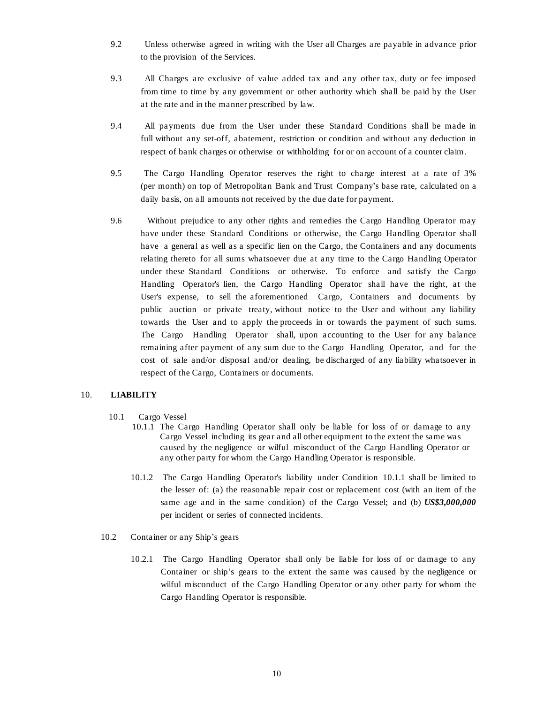- 9.2 Unless otherwise agreed in writing with the User all Charges are payable in advance prior to the provision of the Services.
- 9.3 All Charges are exclusive of value added tax and any other tax, duty or fee imposed from time to time by any government or other authority which shall be paid by the User at the rate and in the manner prescribed by law.
- 9.4 All payments due from the User under these Standard Conditions shall be made in full without any set-off, abatement, restriction or condition and without any deduction in respect of bank charges or otherwise or withholding for or on account of a counter claim.
- 9.5 The Cargo Handling Operator reserves the right to charge interest at a rate of 3% (per month) on top of Metropolitan Bank and Trust Company's base rate, calculated on a daily basis, on all amounts not received by the due date for payment.
- 9.6 Without prejudice to any other rights and remedies the Cargo Handling Operator may have under these Standard Conditions or otherwise, the Cargo Handling Operator shall have a general as well as a specific lien on the Cargo, the Containers and any documents relating thereto for all sums whatsoever due at any time to the Cargo Handling Operator under these Standard Conditions or otherwise. To enforce and satisfy the Cargo Handling Operator's lien, the Cargo Handling Operator shall have the right, at the User's expense, to sell the aforementioned Cargo, Containers and documents by public auction or private treaty, without notice to the User and without any liability towards the User and to apply the proceeds in or towards the payment of such sums. The Cargo Handling Operator shall, upon accounting to the User for any balance remaining after payment of any sum due to the Cargo Handling Operator, and for the cost of sale and/or disposal and/or dealing, be discharged of any liability whatsoever in respect of the Cargo, Containers or documents.

### 10. **LIABILITY**

- 10.1 Cargo Vessel
	- 10.1.1 The Cargo Handling Operator shall only be liable for loss of or damage to any Cargo Vessel including its gear and all other equipment to the extent the same was caused by the negligence or wilful misconduct of the Cargo Handling Operator or any other party for whom the Cargo Handling Operator is responsible.
	- 10.1.2 The Cargo Handling Operator's liability under Condition 10.1.1 shall be limited to the lesser of: (a) the reasonable repair cost or replacement cost (with an item of the same age and in the same condition) of the Cargo Vessel; and (b) *US\$3,000,000*  per incident or series of connected incidents.
- 10.2 Container or any Ship's gears
	- 10.2.1 The Cargo Handling Operator shall only be liable for loss of or damage to any Container or ship's gears to the extent the same was caused by the negligence or wilful misconduct of the Cargo Handling Operator or any other party for whom the Cargo Handling Operator is responsible.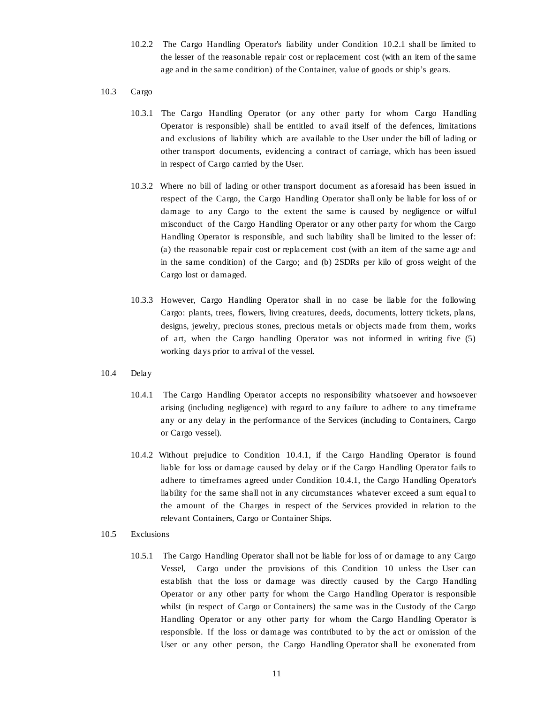- 10.2.2 The Cargo Handling Operator's liability under Condition 10.2.1 shall be limited to the lesser of the reasonable repair cost or replacement cost (with an item of the same age and in the same condition) of the Container, value of goods or ship's gears.
- 10.3 Cargo
	- 10.3.1 The Cargo Handling Operator (or any other party for whom Cargo Handling Operator is responsible) shall be entitled to avail itself of the defences, limitations and exclusions of liability which are available to the User under the bill of lading or other transport documents, evidencing a contract of carriage, which has been issued in respect of Cargo carried by the User.
	- 10.3.2 Where no bill of lading or other transport document as aforesaid has been issued in respect of the Cargo, the Cargo Handling Operator shall only be liable for loss of or damage to any Cargo to the extent the same is caused by negligence or wilful misconduct of the Cargo Handling Operator or any other party for whom the Cargo Handling Operator is responsible, and such liability shall be limited to the lesser of: (a) the reasonable repair cost or replacement cost (with an item of the same age and in the same condition) of the Cargo; and (b) 2SDRs per kilo of gross weight of the Cargo lost or damaged.
	- 10.3.3 However, Cargo Handling Operator shall in no case be liable for the following Cargo: plants, trees, flowers, living creatures, deeds, documents, lottery tickets, plans, designs, jewelry, precious stones, precious metals or objects made from them, works of art, when the Cargo handling Operator was not informed in writing five (5) working days prior to arrival of the vessel.
- 10.4 Delay
	- 10.4.1 The Cargo Handling Operator accepts no responsibility whatsoever and howsoever arising (including negligence) with regard to any failure to adhere to any timeframe any or any delay in the performance of the Services (including to Containers, Cargo or Cargo vessel).
	- 10.4.2 Without prejudice to Condition 10.4.1, if the Cargo Handling Operator is found liable for loss or damage caused by delay or if the Cargo Handling Operator fails to adhere to timeframes agreed under Condition 10.4.1, the Cargo Handling Operator's liability for the same shall not in any circumstances whatever exceed a sum equal to the amount of the Charges in respect of the Services provided in relation to the relevant Containers, Cargo or Container Ships.
- 10.5 Exclusions
	- 10.5.1 The Cargo Handling Operator shall not be liable for loss of or damage to any Cargo Vessel, Cargo under the provisions of this Condition 10 unless the User can establish that the loss or damage was directly caused by the Cargo Handling Operator or any other party for whom the Cargo Handling Operator is responsible whilst (in respect of Cargo or Containers) the same was in the Custody of the Cargo Handling Operator or any other party for whom the Cargo Handling Operator is responsible. If the loss or damage was contributed to by the act or omission of the User or any other person, the Cargo Handling Operator shall be exonerated from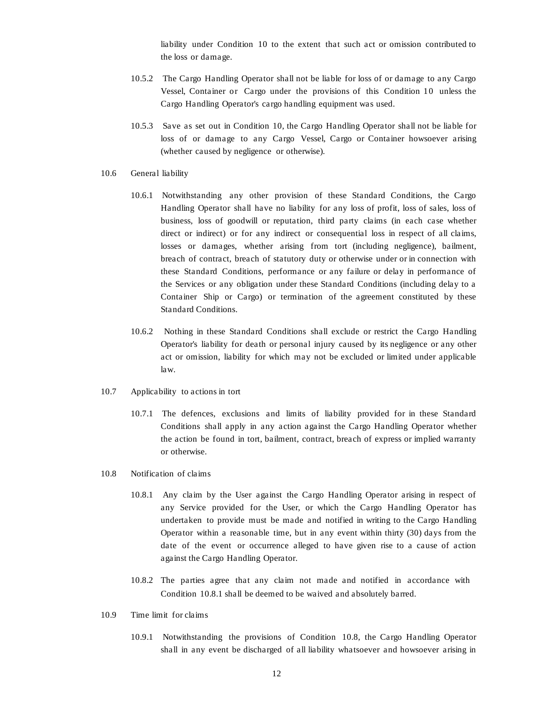liability under Condition 10 to the extent that such act or omission contributed to the loss or damage.

- 10.5.2 The Cargo Handling Operator shall not be liable for loss of or damage to any Cargo Vessel, Container or Cargo under the provisions of this Condition 10 unless the Cargo Handling Operator's cargo handling equipment was used.
- 10.5.3 Save as set out in Condition 10, the Cargo Handling Operator shall not be liable for loss of or damage to any Cargo Vessel, Cargo or Container howsoever arising (whether caused by negligence or otherwise).
- 10.6 General liability
	- 10.6.1 Notwithstanding any other provision of these Standard Conditions, the Cargo Handling Operator shall have no liability for any loss of profit, loss of sales, loss of business, loss of goodwill or reputation, third party claims (in each case whether direct or indirect) or for any indirect or consequential loss in respect of all claims, losses or damages, whether arising from tort (including negligence), bailment, breach of contract, breach of statutory duty or otherwise under or in connection with these Standard Conditions, performance or any failure or delay in performance of the Services or any obligation under these Standard Conditions (including delay to a Container Ship or Cargo) or termination of the agreement constituted by these Standard Conditions.
	- 10.6.2 Nothing in these Standard Conditions shall exclude or restrict the Cargo Handling Operator's liability for death or personal injury caused by its negligence or any other act or omission, liability for which may not be excluded or limited under applicable law.
- 10.7 Applicability to actions in tort
	- 10.7.1 The defences, exclusions and limits of liability provided for in these Standard Conditions shall apply in any action against the Cargo Handling Operator whether the action be found in tort, bailment, contract, breach of express or implied warranty or otherwise.
- 10.8 Notification of claims
	- 10.8.1 Any claim by the User against the Cargo Handling Operator arising in respect of any Service provided for the User, or which the Cargo Handling Operator has undertaken to provide must be made and notified in writing to the Cargo Handling Operator within a reasonable time, but in any event within thirty (30) days from the date of the event or occurrence alleged to have given rise to a cause of action against the Cargo Handling Operator.
	- 10.8.2 The parties agree that any claim not made and notified in accordance with Condition 10.8.1 shall be deemed to be waived and absolutely barred.
- 10.9 Time limit for claims
	- 10.9.1 Notwithstanding the provisions of Condition 10.8, the Cargo Handling Operator shall in any event be discharged of all liability whatsoever and howsoever arising in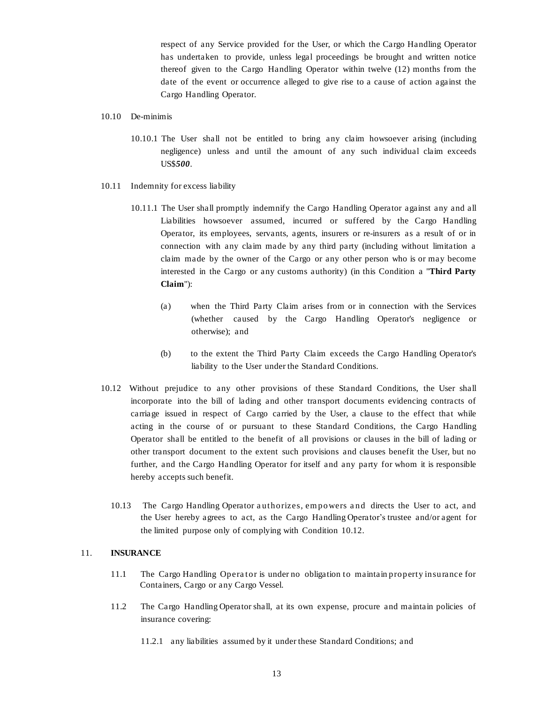respect of any Service provided for the User, or which the Cargo Handling Operator has undertaken to provide, unless legal proceedings be brought and written notice thereof given to the Cargo Handling Operator within twelve (12) months from the date of the event or occurrence alleged to give rise to a cause of action against the Cargo Handling Operator.

- 10.10 De-minimis
	- 10.10.1 The User shall not be entitled to bring any claim howsoever arising (including negligence) unless and until the amount of any such individual claim exceeds US\$*500*.
- 10.11 Indemnity for excess liability
	- 10.11.1 The User shall promptly indemnify the Cargo Handling Operator against any and all Liabilities howsoever assumed, incurred or suffered by the Cargo Handling Operator, its employees, servants, agents, insurers or re-insurers as a result of or in connection with any claim made by any third party (including without limitation a claim made by the owner of the Cargo or any other person who is or may become interested in the Cargo or any customs authority) (in this Condition a "**Third Party Claim**"):
		- (a) when the Third Party Claim arises from or in connection with the Services (whether caused by the Cargo Handling Operator's negligence or otherwise); and
		- (b) to the extent the Third Party Claim exceeds the Cargo Handling Operator's liability to the User under the Standard Conditions.
- 10.12 Without prejudice to any other provisions of these Standard Conditions, the User shall incorporate into the bill of lading and other transport documents evidencing contracts of carriage issued in respect of Cargo carried by the User, a clause to the effect that while acting in the course of or pursuant to these Standard Conditions, the Cargo Handling Operator shall be entitled to the benefit of all provisions or clauses in the bill of lading or other transport document to the extent such provisions and clauses benefit the User, but no further, and the Cargo Handling Operator for itself and any party for whom it is responsible hereby accepts such benefit.
	- 10.13 The Cargo Handling Operator a uthorizes, em powers a nd directs the User to act, and the User hereby agrees to act, as the Cargo Handling Operator's trustee and/or agent for the limited purpose only of complying with Condition 10.12.

### 11. **INSURANCE**

- 11.1 The Cargo Handling Opera tor is under no obligation to maintain property insurance for Containers, Cargo or any Cargo Vessel.
- 11.2 The Cargo Handling Operator shall, at its own expense, procure and maintain policies of insurance covering:
	- 11.2.1 any liabilities assumed by it under these Standard Conditions; and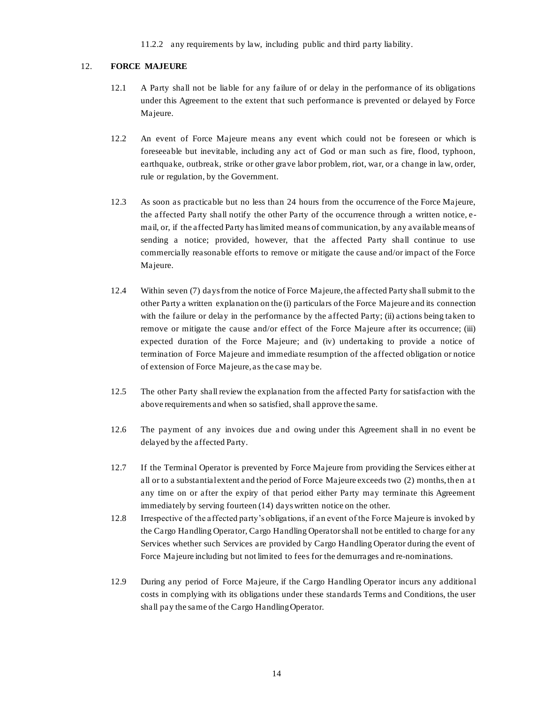11.2.2 any requirements by law, including public and third party liability.

#### 12. **FORCE MAJEURE**

- 12.1 A Party shall not be liable for any failure of or delay in the performance of its obligations under this Agreement to the extent that such performance is prevented or delayed by Force Majeure.
- 12.2 An event of Force Majeure means any event which could not be foreseen or which is foreseeable but inevitable, including any act of God or man such as fire, flood, typhoon, earthquake, outbreak, strike or other grave labor problem, riot, war, or a change in law, order, rule or regulation, by the Government.
- 12.3 As soon as practicable but no less than 24 hours from the occurrence of the Force Majeure, the affected Party shall notify the other Party of the occurrence through a written notice, email, or, if the affected Party has limited means of communication, by any available means of sending a notice; provided, however, that the affected Party shall continue to use commercially reasonable efforts to remove or mitigate the cause and/or impact of the Force Majeure.
- 12.4 Within seven (7) days from the notice of Force Majeure, the affected Party shall submit to the other Party a written explanation on the (i) particulars of the Force Majeure and its connection with the failure or delay in the performance by the affected Party; (ii) actions being taken to remove or mitigate the cause and/or effect of the Force Majeure after its occurrence; (iii) expected duration of the Force Majeure; and (iv) undertaking to provide a notice of termination of Force Majeure and immediate resumption of the affected obligation or notice of extension of Force Majeure, as the case may be.
- 12.5 The other Party shall review the explanation from the affected Party for satisfaction with the above requirements and when so satisfied, shall approve the same.
- 12.6 The payment of any invoices due a nd owing under this Agreement shall in no event be delayed by the affected Party.
- 12.7 If the Terminal Operator is prevented by Force Majeure from providing the Services either at all or to a substantial extent and the period of Force Majeure exceeds two (2) months, then a t any time on or after the expiry of that period either Party may terminate this Agreement immediately by serving fourteen (14) days written notice on the other.
- 12.8 Irrespective of the affected party's obligations, if an event of the Force Majeure is invoked by the Cargo Handling Operator, Cargo Handling Operator shall not be entitled to charge for any Services whether such Services are provided by Cargo Handling Operator during the event of Force Majeure including but not limited to fees for the demurrages and re-nominations.
- 12.9 During any period of Force Majeure, if the Cargo Handling Operator incurs any additional costs in complying with its obligations under these standards Terms and Conditions, the user shall pay the same of the Cargo Handling Operator.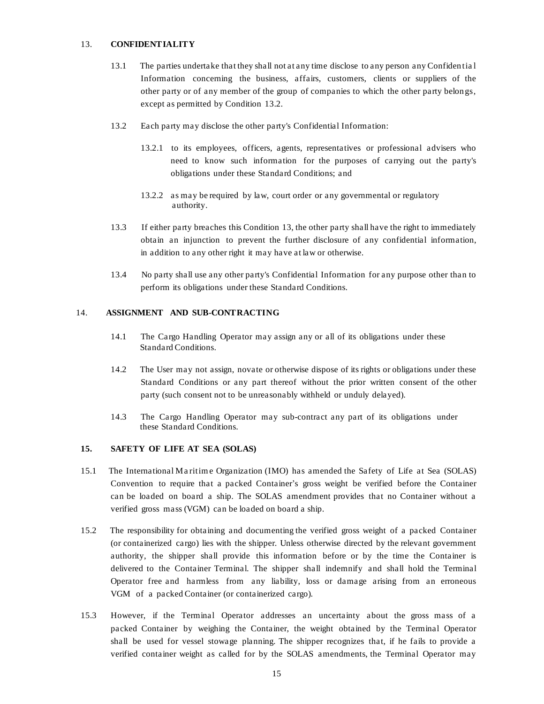#### 13. **CONFIDENTIALITY**

- 13.1 The parties undertake that they shall not at any time disclose to any person any Confidentia l Information concerning the business, affairs, customers, clients or suppliers of the other party or of any member of the group of companies to which the other party belongs, except as permitted by Condition 13.2.
- 13.2 Each party may disclose the other party's Confidential Information:
	- 13.2.1 to its employees, officers, agents, representatives or professional advisers who need to know such information for the purposes of carrying out the party's obligations under these Standard Conditions; and
	- 13.2.2 as may be required by law, court order or any governmental or regulatory authority.
- 13.3 If either party breaches this Condition 13, the other party shall have the right to immediately obtain an injunction to prevent the further disclosure of any confidential information, in addition to any other right it may have at law or otherwise.
- 13.4 No party shall use any other party's Confidential Information for any purpose other than to perform its obligations under these Standard Conditions.

#### 14. **ASSIGNMENT AND SUB-CONTRACTING**

- 14.1 The Cargo Handling Operator may assign any or all of its obligations under these Standard Conditions.
- 14.2 The User may not assign, novate or otherwise dispose of its rights or obligations under these Standard Conditions or any part thereof without the prior written consent of the other party (such consent not to be unreasonably withheld or unduly delayed).
- 14.3 The Cargo Handling Operator may sub-contract any part of its obligations under these Standard Conditions.

#### **15. SAFETY OF LIFE AT SEA (SOLAS)**

- 15.1 The International Ma ritim e Organization (IMO) has amended the Safety of Life at Sea (SOLAS) Convention to require that a packed Container's gross weight be verified before the Container can be loaded on board a ship. The SOLAS amendment provides that no Container without a verified gross mass (VGM) can be loaded on board a ship.
- 15.2 The responsibility for obtaining and documenting the verified gross weight of a packed Container (or containerized cargo) lies with the shipper. Unless otherwise directed by the relevant government authority, the shipper shall provide this information before or by the time the Container is delivered to the Container Terminal. The shipper shall indemnify and shall hold the Terminal Operator free and harmless from any liability, loss or damage arising from an erroneous VGM of a packed Container (or containerized cargo).
- 15.3 However, if the Terminal Operator addresses an uncertainty about the gross mass of a packed Container by weighing the Container, the weight obtained by the Terminal Operator shall be used for vessel stowage planning. The shipper recognizes that, if he fails to provide a verified container weight as called for by the SOLAS amendments, the Terminal Operator may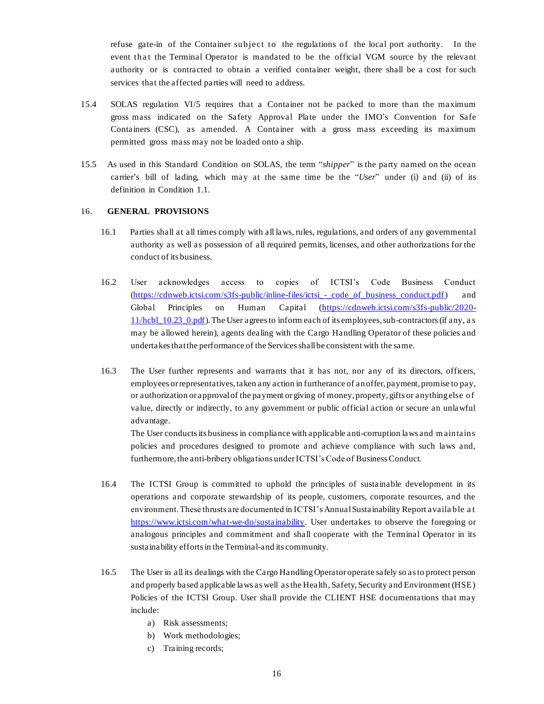refuse gate-in of the Container subject to the regulations of the local port authority. In the event that the Terminal Operator is mandated to be the official VGM source by the relevant authority or is contracted to obtain a verified container weight, there shall be a cost for such services that the affected parties will need to address.

- 15.4 SOLAS regulation VI/5 requires that a Container not be packed to more than the maximum gross mass indicated on the Safety Approval Plate under the IMO's Convention for Safe Containers (CSC), as amended. A Container with a gross mass exceeding its maximum permitted gross mass may not be loaded onto a ship.
- 15.5 As used in this Standard Condition on SOLAS, the term "*shipper*" is the party named on the ocean carrier's bill of lading, which may at the same time be the "*User*" under (i) and (ii) of its definition in Condition 1.1.

## 16. **GENERAL PROVISIONS**

- 16.1 Parties shall at all times comply with all laws, rules, regulations, and orders of any governmental authority as well as possession of all required permits, licenses, and other authorizations for the conduct of its business.
- 16.2 User acknowledges access to copies of ICTSI's Code Business Conduct (https://cdnweb.ictsi.com/s3fs-public/inline-files/ictsi\_-\_code\_of\_business\_conduct.pdf) and Global Principles on Human Capital (https://cdnweb.ictsi.com/s3fs-public/2020- 11/hcbl\_10.23\_0.pdf). The User agrees to inform each of its employees, sub-contractors (if any, a s may be allowed herein), agents dealing with the Cargo Handling Operator of these policies and undertakes that the performance of the Services shall be consistent with the same.
- 16.3 The User further represents and warrants that it has not, nor any of its directors, officers, employees or representatives, taken any action in furtherance of an offer, payment, promise to pay, or authorization or approval of the payment or giving of money, property, gifts or anything else of value, directly or indirectly, to any government or public official action or secure an unlawful advantage.

The User conducts its business in compliance with applicable anti-corruption laws and m aintains policies and procedures designed to promote and achieve compliance with such laws and, furthermore, the anti-bribery obligations under ICTSI's Code of Business Conduct.

- 16.4 The ICTSI Group is committed to uphold the principles of sustainable development in its operations and corporate stewardship of its people, customers, corporate resources, and the environment. These thrusts are documented in ICTSI's Annual Sustainability Report availa ble a t https://www.ictsi.com/what-we-do/sustainability. User undertakes to observe the foregoing or analogous principles and commitment and shall cooperate with the Terminal Operator in its sustainability efforts in the Terminal-and its community.
- 16.5 The User in all its dealings with the Cargo Handling Operator operate safely so as to protect person and properly based applicable laws as well as the Health, Safety, Security and Environment (HSE) Policies of the ICTSI Group. User shall provide the CLIENT HSE documentations that may include:
	- a) Risk assessments;
	- b) Work methodologies;
	- c) Training records;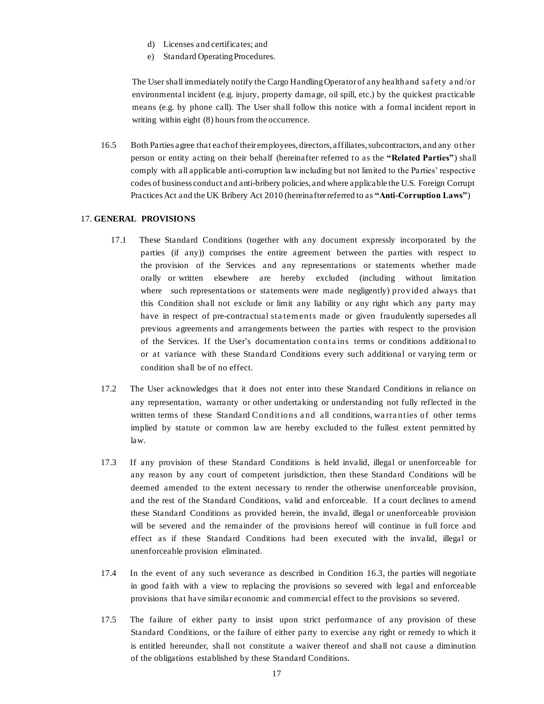- d) Licenses and certificates; and
- e) Standard Operating Procedures.

The User shall immediately notify the Cargo HandlingOperator of any health and saf ety a nd/or environmental incident (e.g. injury, property damage, oil spill, etc.) by the quickest practicable means (e.g. by phone call). The User shall follow this notice with a formal incident report in writing within eight (8) hours from the occurrence.

16.5 Both Parties agree that each of their employees, directors, affiliates, subcontractors, and any other person or entity acting on their behalf (hereinafter referred to as the **"Related Parties"**) shall comply with all applicable anti-corruption law including but not limited to the Parties' respective codes of business conduct and anti-bribery policies, and where applicable the U.S. Foreign Corrupt Practices Act and the UK Bribery Act 2010 (hereinafter referred to as **"Anti-Corruption Laws"**)

### 17. **GENERAL PROVISIONS**

- 17.1 These Standard Conditions (together with any document expressly incorporated by the parties (if any)) comprises the entire agreement between the parties with respect to the provision of the Services and any representations or statements whether made orally or written elsewhere are hereby excluded (including without limitation where such representations or statements were made negligently) provided always that this Condition shall not exclude or limit any liability or any right which any party may have in respect of pre-contractual sta tem ents made or given fraudulently supersedes all previous agreements and arrangements between the parties with respect to the provision of the Services. If the User's documentation conta ins terms or conditions additional to or at variance with these Standard Conditions every such additional or varying term or condition shall be of no effect.
- 17.2 The User acknowledges that it does not enter into these Standard Conditions in reliance on any representation, warranty or other undertaking or understanding not fully reflected in the written terms of these Standard Conditions a nd all conditions, wa rra nties of other terms implied by statute or common law are hereby excluded to the fullest extent permitted by law.
- 17.3 If any provision of these Standard Conditions is held invalid, illegal or unenforceable for any reason by any court of competent jurisdiction, then these Standard Conditions will be deemed amended to the extent necessary to render the otherwise unenforceable provision, and the rest of the Standard Conditions, valid and enforceable. If a court declines to amend these Standard Conditions as provided herein, the invalid, illegal or unenforceable provision will be severed and the remainder of the provisions hereof will continue in full force and effect as if these Standard Conditions had been executed with the invalid, illegal or unenforceable provision eliminated.
- 17.4 In the event of any such severance as described in Condition 16.3, the parties will negotiate in good faith with a view to replacing the provisions so severed with legal and enforceable provisions that have similar economic and commercial effect to the provisions so severed.
- 17.5 The failure of either party to insist upon strict performance of any provision of these Standard Conditions, or the failure of either party to exercise any right or remedy to which it is entitled hereunder, shall not constitute a waiver thereof and shall not cause a diminution of the obligations established by these Standard Conditions.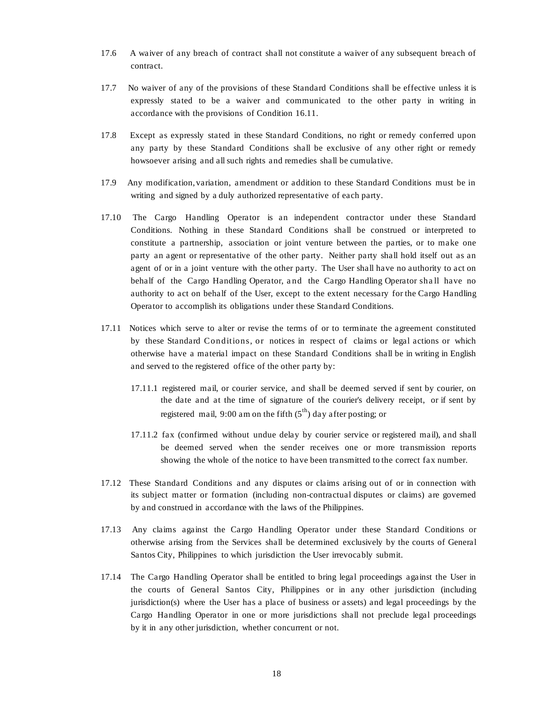- 17.6 A waiver of any breach of contract shall not constitute a waiver of any subsequent breach of contract.
- 17.7 No waiver of any of the provisions of these Standard Conditions shall be effective unless it is expressly stated to be a waiver and communicated to the other party in writing in accordance with the provisions of Condition 16.11.
- 17.8 Except as expressly stated in these Standard Conditions, no right or remedy conferred upon any party by these Standard Conditions shall be exclusive of any other right or remedy howsoever arising and allsuch rights and remedies shall be cumulative.
- 17.9 Any modification, variation, amendment or addition to these Standard Conditions must be in writing and signed by a duly authorized representative of each party.
- 17.10 The Cargo Handling Operator is an independent contractor under these Standard Conditions. Nothing in these Standard Conditions shall be construed or interpreted to constitute a partnership, association or joint venture between the parties, or to make one party an agent or representative of the other party. Neither party shall hold itself out as an agent of or in a joint venture with the other party. The User shall have no authority to act on behalf of the Cargo Handling Operator, and the Cargo Handling Operator shall have no authority to act on behalf of the User, except to the extent necessary for the Cargo Handling Operator to accomplish its obligations under these Standard Conditions.
- 17.11 Notices which serve to alter or revise the terms of or to terminate the agreement constituted by these Standard Conditions, or notices in respect of claims or legal actions or which otherwise have a material impact on these Standard Conditions shall be in writing in English and served to the registered office of the other party by:
	- 17.11.1 registered mail, or courier service, and shall be deemed served if sent by courier, on the date and at the time of signature of the courier's delivery receipt, or if sent by registered mail, 9:00 am on the fifth  $(5^{th})$  day after posting; or
	- 17.11.2 fax (confirmed without undue delay by courier service or registered mail), and shall be deemed served when the sender receives one or more transmission reports showing the whole of the notice to have been transmitted to the correct fax number.
- 17.12 These Standard Conditions and any disputes or claims arising out of or in connection with its subject matter or formation (including non-contractual disputes or claims) are governed by and construed in accordance with the laws of the Philippines.
- 17.13 Any claims against the Cargo Handling Operator under these Standard Conditions or otherwise arising from the Services shall be determined exclusively by the courts of General Santos City, Philippines to which jurisdiction the User irrevocably submit.
- 17.14 The Cargo Handling Operator shall be entitled to bring legal proceedings against the User in the courts of General Santos City, Philippines or in any other jurisdiction (including jurisdiction(s) where the User has a place of business or assets) and legal proceedings by the Cargo Handling Operator in one or more jurisdictions shall not preclude legal proceedings by it in any other jurisdiction, whether concurrent or not.